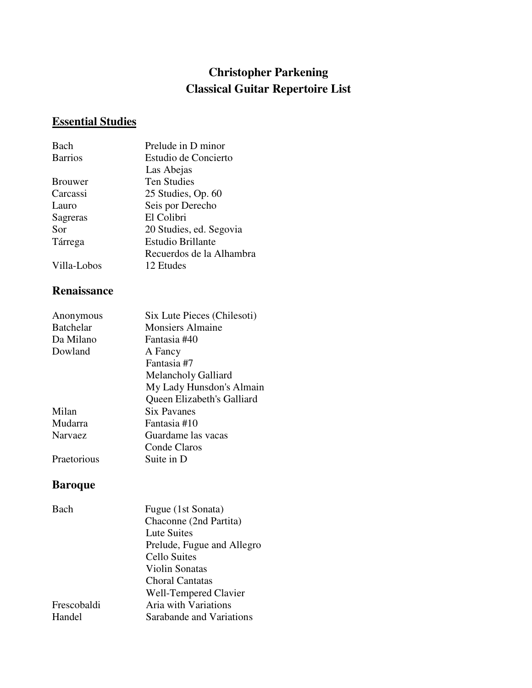## **Christopher Parkening Classical Guitar Repertoire List**

# **Essential Studies**

| Bach           | Prelude in D minor       |
|----------------|--------------------------|
| <b>Barrios</b> | Estudio de Concierto     |
|                | Las Abejas               |
| <b>Brouwer</b> | <b>Ten Studies</b>       |
| Carcassi       | 25 Studies, Op. 60       |
| Lauro          | Seis por Derecho         |
| Sagreras       | El Colibri               |
| Sor            | 20 Studies, ed. Segovia  |
| Tárrega        | <b>Estudio Brillante</b> |
|                | Recuerdos de la Alhambra |
| Villa-Lobos    | 12 Etudes                |

### **Renaissance**

| My Lady Hunsdon's Almain   |
|----------------------------|
| Queen Elizabeth's Galliard |
|                            |
|                            |
|                            |
|                            |
|                            |
|                            |

## **Baroque**

| Fugue (1st Sonata)         |
|----------------------------|
| Chaconne (2nd Partita)     |
| Lute Suites                |
| Prelude, Fugue and Allegro |
| <b>Cello Suites</b>        |
| Violin Sonatas             |
| Choral Cantatas            |
| Well-Tempered Clavier      |
| Aria with Variations       |
| Sarabande and Variations   |
|                            |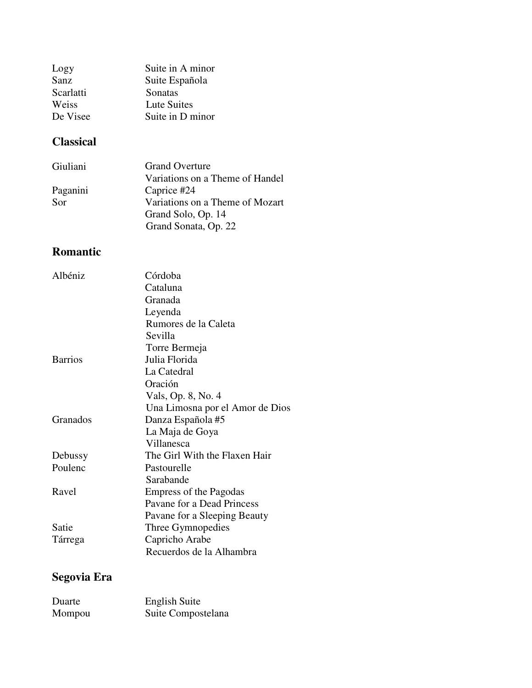| Logy      | Suite in A minor |
|-----------|------------------|
| Sanz      | Suite Española   |
| Scarlatti | Sonatas          |
| Weiss     | Lute Suites      |
| De Visee  | Suite in D minor |

# **Classical**

| Giuliani | <b>Grand Overture</b>           |
|----------|---------------------------------|
|          | Variations on a Theme of Handel |
| Paganini | Caprice #24                     |
| Sor      | Variations on a Theme of Mozart |
|          | Grand Solo, Op. 14              |
|          | Grand Sonata, Op. 22            |
|          |                                 |

## **Romantic**

| Albéniz        | Córdoba                         |
|----------------|---------------------------------|
|                | Cataluna                        |
|                | Granada                         |
|                | Leyenda                         |
|                | Rumores de la Caleta            |
|                | Sevilla                         |
|                | Torre Bermeja                   |
| <b>Barrios</b> | Julia Florida                   |
|                | La Catedral                     |
|                | Oración                         |
|                | Vals, Op. 8, No. 4              |
|                | Una Limosna por el Amor de Dios |
| Granados       | Danza Española #5               |
|                | La Maja de Goya                 |
|                | Villanesca                      |
| Debussy        | The Girl With the Flaxen Hair   |
| Poulenc        | Pastourelle                     |
|                | Sarabande                       |
| Ravel          | <b>Empress of the Pagodas</b>   |
|                | Pavane for a Dead Princess      |
|                | Pavane for a Sleeping Beauty    |
| Satie          | Three Gymnopedies               |
| Tárrega        | Capricho Arabe                  |
|                | Recuerdos de la Alhambra        |

# **Segovia Era**

| Duarte | <b>English Suite</b> |
|--------|----------------------|
| Mompou | Suite Compostelana   |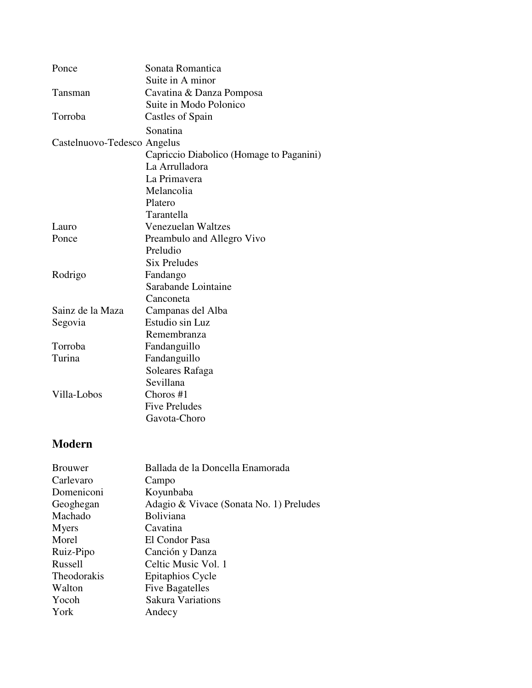| Ponce                       | Sonata Romantica                         |
|-----------------------------|------------------------------------------|
|                             | Suite in A minor                         |
| Tansman                     | Cavatina & Danza Pomposa                 |
|                             | Suite in Modo Polonico                   |
| Torroba                     | Castles of Spain                         |
|                             | Sonatina                                 |
| Castelnuovo-Tedesco Angelus |                                          |
|                             | Capriccio Diabolico (Homage to Paganini) |
|                             | La Arrulladora                           |
|                             | La Primavera                             |
|                             | Melancolia                               |
|                             | Platero                                  |
|                             | Tarantella                               |
| Lauro                       | <b>Venezuelan Waltzes</b>                |
| Ponce                       | Preambulo and Allegro Vivo               |
|                             | Preludio                                 |
|                             | <b>Six Preludes</b>                      |
| Rodrigo                     | Fandango                                 |
|                             | Sarabande Lointaine                      |
|                             | Canconeta                                |
| Sainz de la Maza            | Campanas del Alba                        |
| Segovia                     | Estudio sin Luz                          |
|                             | Remembranza                              |
| Torroba                     | Fandanguillo                             |
| Turina                      | Fandanguillo                             |
|                             | Soleares Rafaga                          |
|                             | Sevillana                                |
| Villa-Lobos                 | Choros #1                                |
|                             | <b>Five Preludes</b>                     |
|                             | Gavota-Choro                             |
|                             |                                          |
|                             |                                          |

## **Modern**

| Ballada de la Doncella Enamorada        |
|-----------------------------------------|
| Campo                                   |
| Koyunbaba                               |
| Adagio & Vivace (Sonata No. 1) Preludes |
| Boliviana                               |
| Cavatina                                |
| El Condor Pasa                          |
| Canción y Danza                         |
| Celtic Music Vol. 1                     |
| Epitaphios Cycle                        |
| <b>Five Bagatelles</b>                  |
| <b>Sakura Variations</b>                |
| Andecy                                  |
|                                         |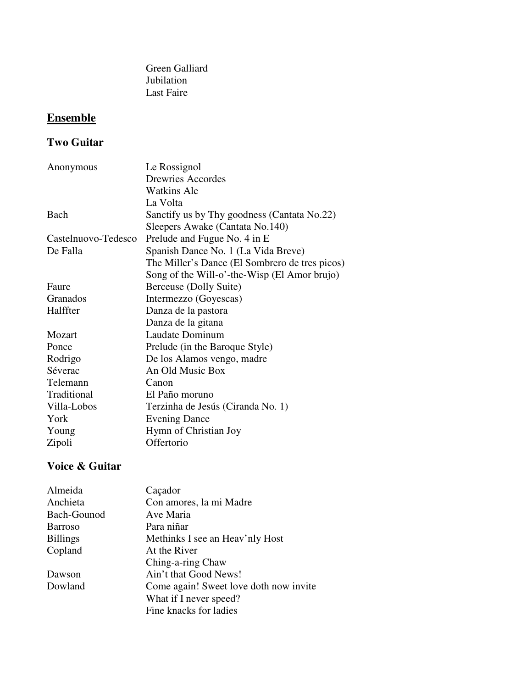Green Galliard Last Faire Jubilation

# **Ensemble**

### **Two Guitar**

| Anonymous           | Le Rossignol                                   |
|---------------------|------------------------------------------------|
|                     | <b>Drewries Accordes</b>                       |
|                     | Watkins Ale                                    |
|                     | La Volta                                       |
| Bach                | Sanctify us by Thy goodness (Cantata No.22)    |
|                     | Sleepers Awake (Cantata No.140)                |
| Castelnuovo-Tedesco | Prelude and Fugue No. 4 in E.                  |
| De Falla            | Spanish Dance No. 1 (La Vida Breve)            |
|                     | The Miller's Dance (El Sombrero de tres picos) |
|                     | Song of the Will-o'-the-Wisp (El Amor brujo)   |
| Faure               | Berceuse (Dolly Suite)                         |
| Granados            | Intermezzo (Goyescas)                          |
| Halffter            | Danza de la pastora                            |
|                     | Danza de la gitana                             |
| Mozart              | Laudate Dominum                                |
| Ponce               | Prelude (in the Baroque Style)                 |
| Rodrigo             | De los Alamos vengo, madre                     |
| Séverac             | An Old Music Box                               |
| Telemann            | Canon                                          |
| Traditional         | El Paño moruno                                 |
| Villa-Lobos         | Terzinha de Jesús (Ciranda No. 1)              |
| York                | <b>Evening Dance</b>                           |
| Young               | Hymn of Christian Joy                          |
| Zipoli              | Offertorio                                     |

#### **Voice & Guitar**

| Almeida         | Caçador                                |
|-----------------|----------------------------------------|
| Anchieta        | Con amores, la mi Madre                |
| Bach-Gounod     | Ave Maria                              |
| <b>Barroso</b>  | Para niñar                             |
| <b>Billings</b> | Methinks I see an Heav'nly Host        |
| Copland         | At the River                           |
|                 | Ching-a-ring Chaw                      |
| Dawson          | Ain't that Good News!                  |
| Dowland         | Come again! Sweet love doth now invite |
|                 | What if I never speed?                 |
|                 | Fine knacks for ladies                 |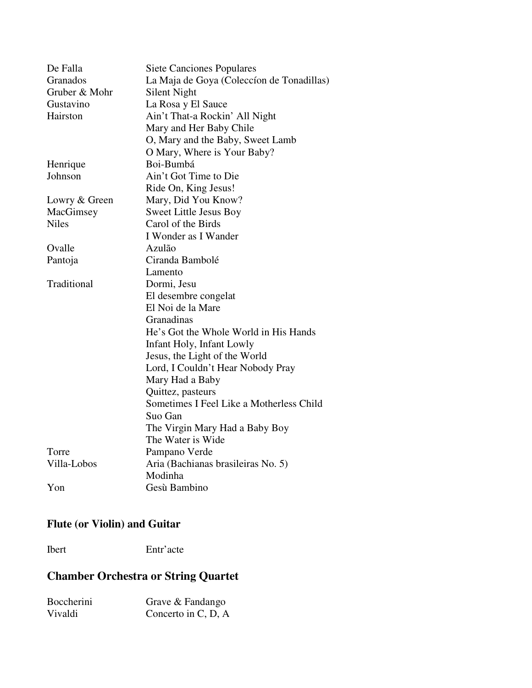| De Falla      | <b>Siete Canciones Populares</b>          |
|---------------|-------------------------------------------|
| Granados      | La Maja de Goya (Coleccion de Tonadillas) |
| Gruber & Mohr | Silent Night                              |
| Gustavino     | La Rosa y El Sauce                        |
| Hairston      | Ain't That-a Rockin' All Night            |
|               | Mary and Her Baby Chile                   |
|               | O, Mary and the Baby, Sweet Lamb          |
|               | O Mary, Where is Your Baby?               |
| Henrique      | Boi-Bumbá                                 |
| Johnson       | Ain't Got Time to Die                     |
|               | Ride On, King Jesus!                      |
| Lowry & Green | Mary, Did You Know?                       |
| MacGimsey     | Sweet Little Jesus Boy                    |
| <b>Niles</b>  | Carol of the Birds                        |
|               | I Wonder as I Wander                      |
| Ovalle        | Azulão                                    |
| Pantoja       | Ciranda Bambolé                           |
|               | Lamento                                   |
| Traditional   | Dormi, Jesu                               |
|               | El desembre congelat                      |
|               | El Noi de la Mare                         |
|               | Granadinas                                |
|               | He's Got the Whole World in His Hands     |
|               | Infant Holy, Infant Lowly                 |
|               | Jesus, the Light of the World             |
|               | Lord, I Couldn't Hear Nobody Pray         |
|               | Mary Had a Baby                           |
|               | Quittez, pasteurs                         |
|               | Sometimes I Feel Like a Motherless Child  |
|               | Suo Gan                                   |
|               | The Virgin Mary Had a Baby Boy            |
|               | The Water is Wide                         |
| Torre         | Pampano Verde                             |
| Villa-Lobos   | Aria (Bachianas brasileiras No. 5)        |
|               | Modinha                                   |
| Yon           | Gesù Bambino                              |

#### **Flute (or Violin) and Guitar**

Ibert Entr'acte

### **Chamber Orchestra or String Quartet**

| Boccherini | Grave & Fandango    |
|------------|---------------------|
| Vivaldi    | Concerto in C, D, A |